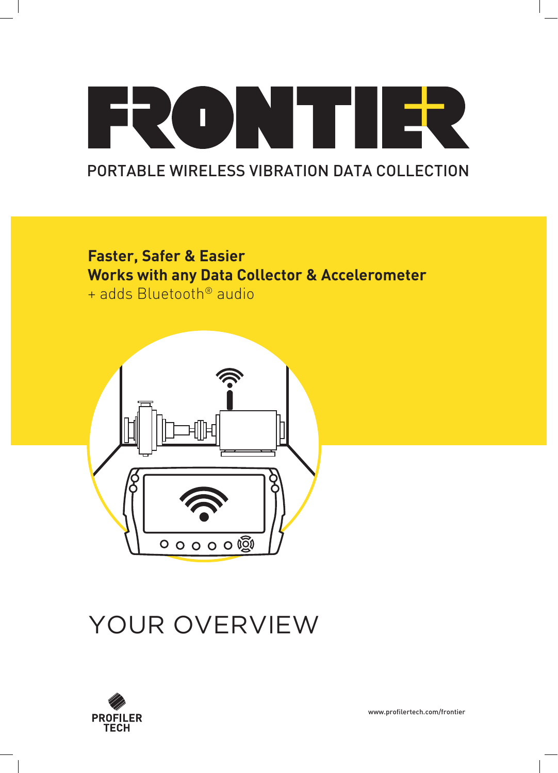## FRONT IER PORTABLE WIRELESS VIBRATION DATA COLLECTION

**Faster, Safer & Easier Works with any Data Collector & Accelerometer** + adds Bluetooth® audio



## YOUR OVERVIEW



www.profilertech.com/frontier